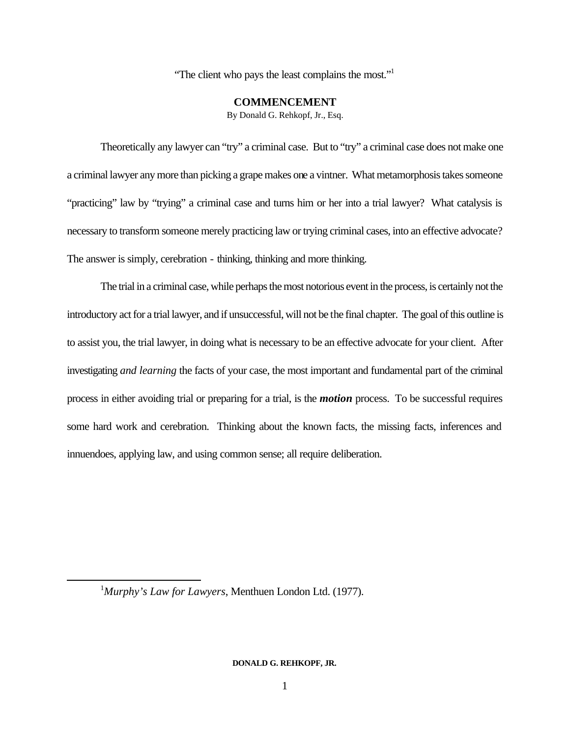"The client who pays the least complains the most."<sup>1</sup>

# **COMMENCEMENT**

By Donald G. Rehkopf, Jr., Esq.

Theoretically any lawyer can "try" a criminal case. But to "try" a criminal case does not make one a criminal lawyer any more than picking a grape makes one a vintner. What metamorphosis takes someone "practicing" law by "trying" a criminal case and turns him or her into a trial lawyer? What catalysis is necessary to transform someone merely practicing law or trying criminal cases, into an effective advocate? The answer is simply, cerebration - thinking, thinking and more thinking.

The trial in a criminal case, while perhaps the most notorious event in the process, is certainly not the introductory act for a trial lawyer, and if unsuccessful, will not be the final chapter. The goal of this outline is to assist you, the trial lawyer, in doing what is necessary to be an effective advocate for your client. After investigating *and learning* the facts of your case, the most important and fundamental part of the criminal process in either avoiding trial or preparing for a trial, is the *motion* process. To be successful requires some hard work and cerebration. Thinking about the known facts, the missing facts, inferences and innuendoes, applying law, and using common sense; all require deliberation.

<sup>1</sup>*Murphy's Law for Lawyers*, Menthuen London Ltd. (1977).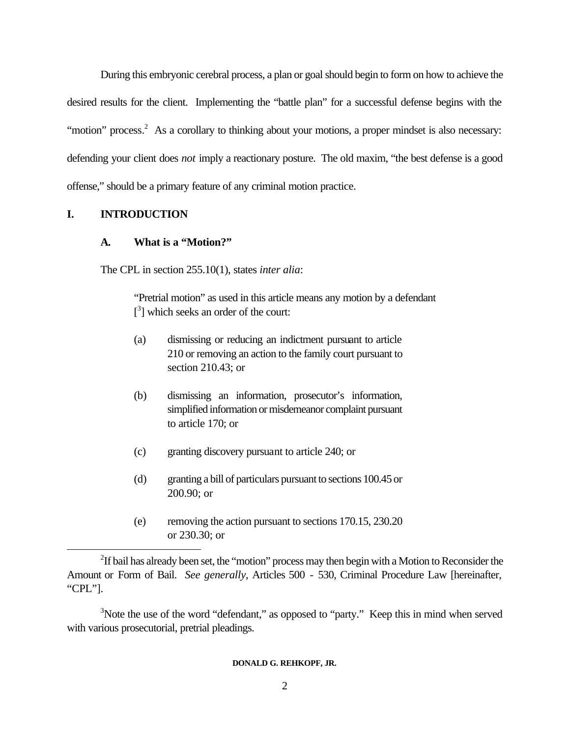During this embryonic cerebral process, a plan or goal should begin to form on how to achieve the desired results for the client. Implementing the "battle plan" for a successful defense begins with the "motion" process.<sup>2</sup> As a corollary to thinking about your motions, a proper mindset is also necessary: defending your client does *not* imply a reactionary posture. The old maxim, "the best defense is a good offense," should be a primary feature of any criminal motion practice.

# **I. INTRODUCTION**

l

# **A. What is a "Motion?"**

The CPL in section 255.10(1), states *inter alia*:

"Pretrial motion" as used in this article means any motion by a defendant [<sup>3</sup>] which seeks an order of the court:

- (a) dismissing or reducing an indictment pursuant to article 210 or removing an action to the family court pursuant to section 210.43; or
- (b) dismissing an information, prosecutor's information, simplified information or misdemeanor complaint pursuant to article 170; or
- (c) granting discovery pursuant to article 240; or
- (d) granting a bill of particulars pursuant to sections 100.45 or 200.90; or
- (e) removing the action pursuant to sections 170.15, 230.20 or 230.30; or

 $2$ If bail has already been set, the "motion" process may then begin with a Motion to Reconsider the Amount or Form of Bail. *See generally,* Articles 500 - 530, Criminal Procedure Law [hereinafter, "CPL"].

<sup>&</sup>lt;sup>3</sup>Note the use of the word "defendant," as opposed to "party." Keep this in mind when served with various prosecutorial, pretrial pleadings.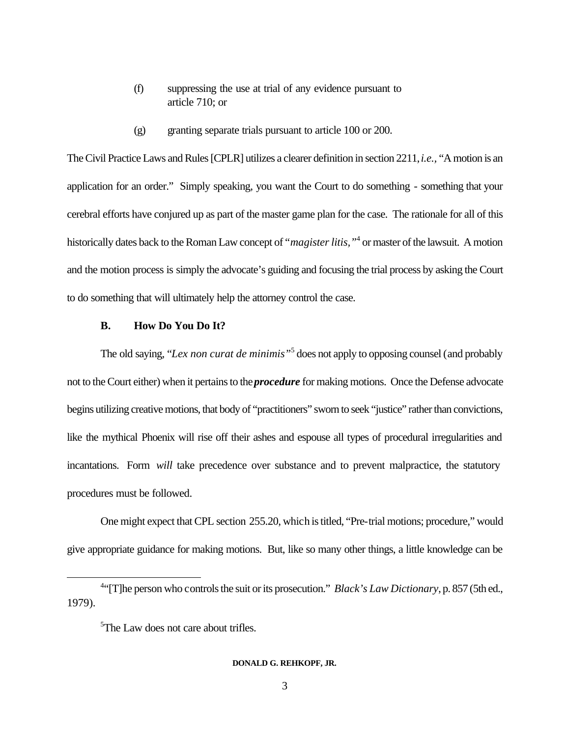- (f) suppressing the use at trial of any evidence pursuant to article 710; or
- (g) granting separate trials pursuant to article 100 or 200.

The Civil Practice Laws and Rules [CPLR] utilizes a clearer definition in section 2211, *i.e.,* "A motion is an application for an order." Simply speaking, you want the Court to do something - something that your cerebral efforts have conjured up as part of the master game plan for the case. The rationale for all of this historically dates back to the Roman Law concept of "*magister litis,"*<sup>4</sup> or master of the lawsuit. A motion and the motion process is simply the advocate's guiding and focusing the trial process by asking the Court to do something that will ultimately help the attorney control the case.

## **B. How Do You Do It?**

The old saying, "*Lex non curat de minimis"*<sup>5</sup> does not apply to opposing counsel (and probably not to the Court either) when it pertains to the *procedure* for making motions. Once the Defense advocate begins utilizing creative motions, that body of "practitioners" sworn to seek "justice" rather than convictions, like the mythical Phoenix will rise off their ashes and espouse all types of procedural irregularities and incantations. Form *will* take precedence over substance and to prevent malpractice, the statutory procedures must be followed.

One might expect that CPL section 255.20, which is titled, "Pre-trial motions; procedure," would give appropriate guidance for making motions. But, like so many other things, a little knowledge can be

l

<sup>&</sup>lt;sup>4.</sup> The person who controls the suit or its prosecution." *Black's Law Dictionary*, p. 857 (5th ed., 1979).

<sup>&</sup>lt;sup>5</sup>The Law does not care about trifles.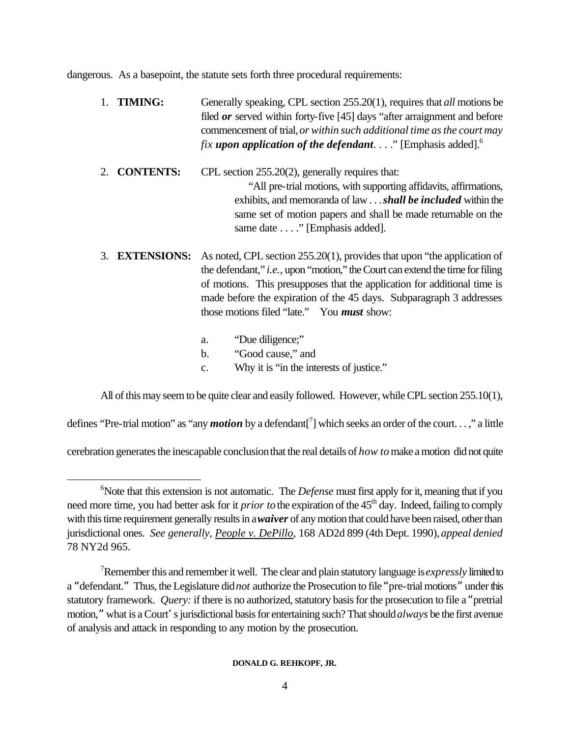dangerous. As a basepoint, the statute sets forth three procedural requirements:

- 1. **TIMING:** Generally speaking, CPL section 255.20(1), requires that *all* motions be filed *or* served within forty-five [45] days "after arraignment and before commencement of trial, *or within such additional time as the court may fix upon application of the defendant*. . . ." [Emphasis added].<sup>6</sup>
- 2. **CONTENTS:** CPL section 255.20(2), generally requires that: "All pre-trial motions, with supporting affidavits, affirmations, exhibits, and memoranda of law . . . *shall be included* within the same set of motion papers and shall be made returnable on the same date . . . ." [Emphasis added].
- 3. **EXTENSIONS:** As noted, CPL section 255.20(1), provides that upon "the application of the defendant," *i.e.,* upon "motion," the Court can extend the time for filing of motions. This presupposes that the application for additional time is made before the expiration of the 45 days. Subparagraph 3 addresses those motions filed "late." You *must* show:
	- a. "Due diligence;" b. "Good cause," and c. Why it is "in the interests of justice."

All of this may seem to be quite clear and easily followed. However, while CPL section 255.10(1),

defines "Pre-trial motion" as "any *motion* by a defendant<sup>[7</sup>] which seeks an order of the court...," a little

cerebration generates the inescapable conclusion that the real details of *how to* make a motion did not quite

l

<sup>&</sup>lt;sup>6</sup>Note that this extension is not automatic. The *Defense* must first apply for it, meaning that if you need more time, you had better ask for it *prior to* the expiration of the 45<sup>th</sup> day. Indeed, failing to comply with this time requirement generally results in a *waiver* of any motion that could have been raised, other than jurisdictional ones. *See generally, People v. DePillo*, 168 AD2d 899 (4th Dept. 1990), *appeal denied* 78 NY2d 965.

<sup>7</sup>Remember this and remember it well. The clear and plain statutory language is *expressly* limited to a "defendant." Thus, the Legislature did *not* authorize the Prosecution to file "pre-trial motions" under this statutory framework. *Query:* if there is no authorized, statutory basis for the prosecution to file a "pretrial motion," what is a Court's jurisdictional basis for entertaining such? That should *always* be the first avenue of analysis and attack in responding to any motion by the prosecution.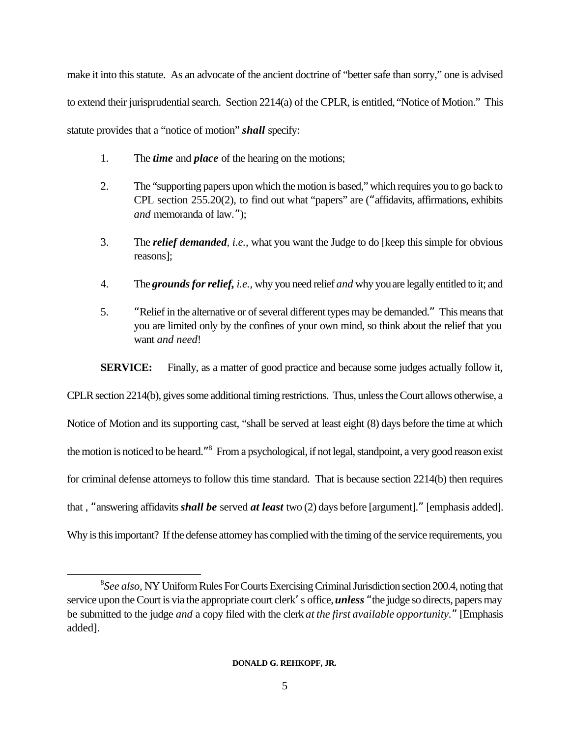make it into this statute. As an advocate of the ancient doctrine of "better safe than sorry," one is advised to extend their jurisprudential search. Section 2214(a) of the CPLR, is entitled, "Notice of Motion." This statute provides that a "notice of motion" *shall* specify:

- 1. The *time* and *place* of the hearing on the motions;
- 2. The "supporting papers upon which the motion is based," which requires you to go back to CPL section 255.20(2), to find out what "papers" are ("affidavits, affirmations, exhibits *and* memoranda of law.");
- 3. The *relief demanded, i.e.,* what you want the Judge to do [keep this simple for obvious reasons];
- 4. The *grounds for relief, i.e.,* why you need relief *and* why you are legally entitled to it; and
- 5. "Relief in the alternative or of several different types may be demanded." This means that you are limited only by the confines of your own mind, so think about the relief that you want *and need*!

**SERVICE:** Finally, as a matter of good practice and because some judges actually follow it,

CPLR section 2214(b), gives some additional timing restrictions. Thus, unless the Court allows otherwise, a Notice of Motion and its supporting cast, "shall be served at least eight (8) days before the time at which the motion is noticed to be heard."<sup>8</sup> From a psychological, if not legal, standpoint, a very good reason exist for criminal defense attorneys to follow this time standard. That is because section 2214(b) then requires that , "answering affidavits *shall be* served *at least* two (2) days before [argument]." [emphasis added]. Why is this important? If the defense attorney has complied with the timing of the service requirements, you

<sup>8</sup> *See also,* NY Uniform Rules For Courts Exercising Criminal Jurisdiction section 200.4, noting that service upon the Court is via the appropriate court clerk's office, *unless* "the judge so directs, papers may be submitted to the judge *and* a copy filed with the clerk *at the first available opportunity.*" [Emphasis added].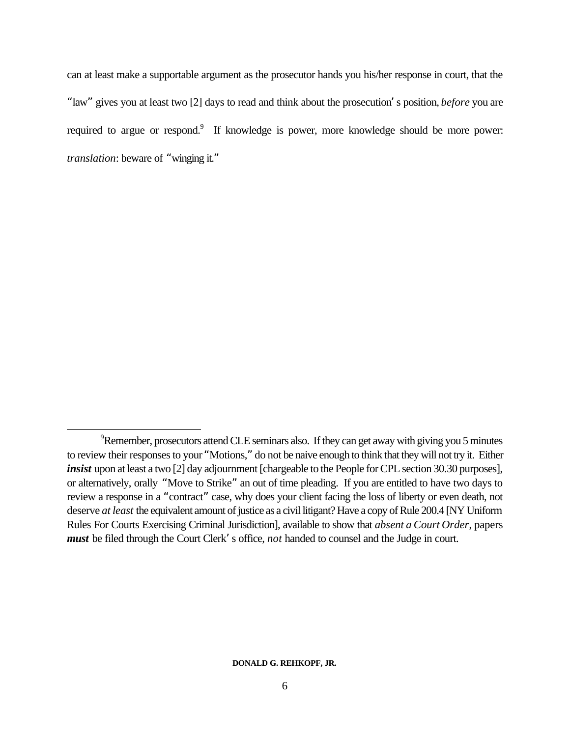can at least make a supportable argument as the prosecutor hands you his/her response in court, that the "law" gives you at least two [2] days to read and think about the prosecution's position, *before* you are required to argue or respond.<sup>9</sup> If knowledge is power, more knowledge should be more power: *translation*: beware of "winging it."

 $9^9$ Remember, prosecutors attend CLE seminars also. If they can get away with giving you 5 minutes to review their responses to your "Motions," do not be naive enough to think that they will not try it. Either *insist* upon at least a two [2] day adjournment [chargeable to the People for CPL section 30.30 purposes], or alternatively, orally "Move to Strike" an out of time pleading. If you are entitled to have two days to review a response in a "contract" case, why does your client facing the loss of liberty or even death, not deserve *at least* the equivalent amount of justice as a civil litigant? Have a copy of Rule 200.4 [NY Uniform Rules For Courts Exercising Criminal Jurisdiction], available to show that *absent a Court Order*, papers *must* be filed through the Court Clerk's office, *not* handed to counsel and the Judge in court.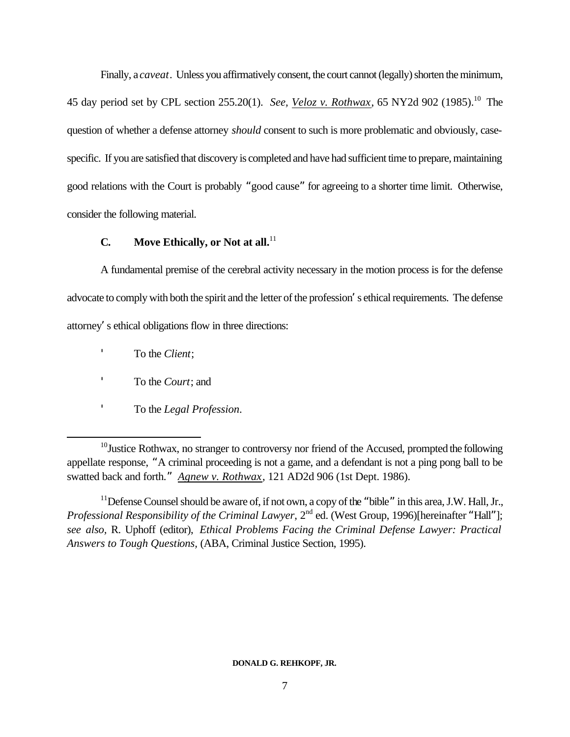Finally, a *caveat*. Unless you affirmatively consent, the court cannot (legally) shorten the minimum, 45 day period set by CPL section 255.20(1). *See, Veloz v. Rothwax*, 65 NY2d 902 (1985).<sup>10</sup> The question of whether a defense attorney *should* consent to such is more problematic and obviously, casespecific. If you are satisfied that discovery is completed and have had sufficient time to prepare, maintaining good relations with the Court is probably "good cause" for agreeing to a shorter time limit. Otherwise, consider the following material.

# **C. Move Ethically, or Not at all.**<sup>11</sup>

A fundamental premise of the cerebral activity necessary in the motion process is for the defense advocate to comply with both the spirit and the letter of the profession's ethical requirements. The defense attorney's ethical obligations flow in three directions:

To the *Client*;

- To the *Court*; and
- 'To the *Legal Profession*.

 $10$ Justice Rothwax, no stranger to controversy nor friend of the Accused, prompted the following appellate response, "A criminal proceeding is not a game, and a defendant is not a ping pong ball to be swatted back and forth." *Agnew v. Rothwax*, 121 AD2d 906 (1st Dept. 1986).

 $11$  Defense Counsel should be aware of, if not own, a copy of the "bible" in this area, J.W. Hall, Jr., *Professional Responsibility of the Criminal Lawyer*, 2<sup>nd</sup> ed. (West Group, 1996)[hereinafter "Hall"]; *see also,* R. Uphoff (editor), *Ethical Problems Facing the Criminal Defense Lawyer: Practical Answers to Tough Questions,* (ABA, Criminal Justice Section, 1995).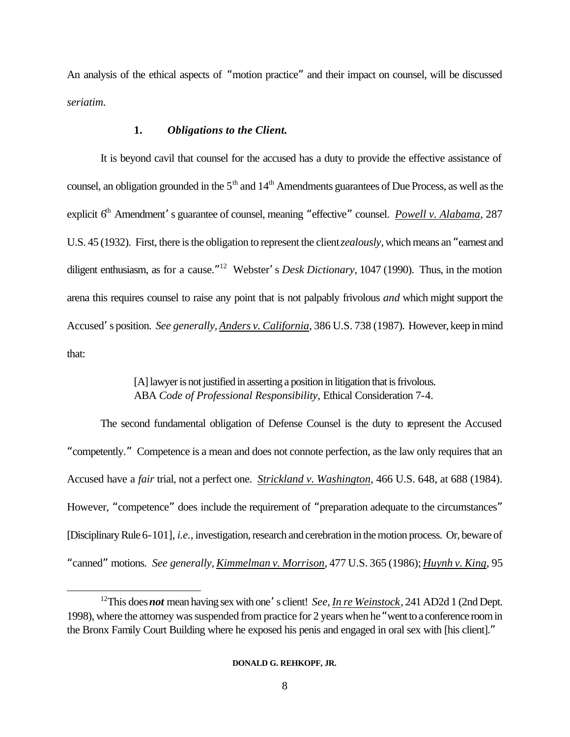An analysis of the ethical aspects of "motion practice" and their impact on counsel, will be discussed *seriatim.*

## **1.** *Obligations to the Client.*

It is beyond cavil that counsel for the accused has a duty to provide the effective assistance of counsel, an obligation grounded in the 5<sup>th</sup> and 14<sup>th</sup> Amendments guarantees of Due Process, as well as the explicit 6<sup>th</sup> Amendment's guarantee of counsel, meaning "effective" counsel. *Powell v. Alabama*, 287 U.S. 45 (1932). First, there is the obligation to represent the client *zealously*, which means an "earnest and diligent enthusiasm, as for a cause." <sup>12</sup> Webster's *Desk Dictionary*, 1047 (1990). Thus, in the motion arena this requires counsel to raise any point that is not palpably frivolous *and* which might support the Accused's position. *See generally, Anders v. California*, 386 U.S. 738 (1987). However, keep in mind that:

# [A] lawyer is not justified in asserting a position in litigation that is frivolous. ABA *Code of Professional Responsibility,* Ethical Consideration 7-4.

The second fundamental obligation of Defense Counsel is the duty to represent the Accused "competently." Competence is a mean and does not connote perfection, as the law only requires that an Accused have a *fair* trial, not a perfect one. *Strickland v. Washington*, 466 U.S. 648, at 688 (1984). However, "competence" does include the requirement of "preparation adequate to the circumstances" [Disciplinary Rule 6-101], *i.e.,* investigation, research and cerebration in the motion process. Or, beware of "canned" motions. *See generally, Kimmelman v. Morrison*, 477 U.S. 365 (1986); *Huynh v. King*, 95

<sup>12</sup>This does *not* mean having sex with one's client! *See, In re Weinstock*, 241 AD2d 1 (2nd Dept. 1998), where the attorney was suspended from practice for 2 years when he "went to a conference room in the Bronx Family Court Building where he exposed his penis and engaged in oral sex with [his client]."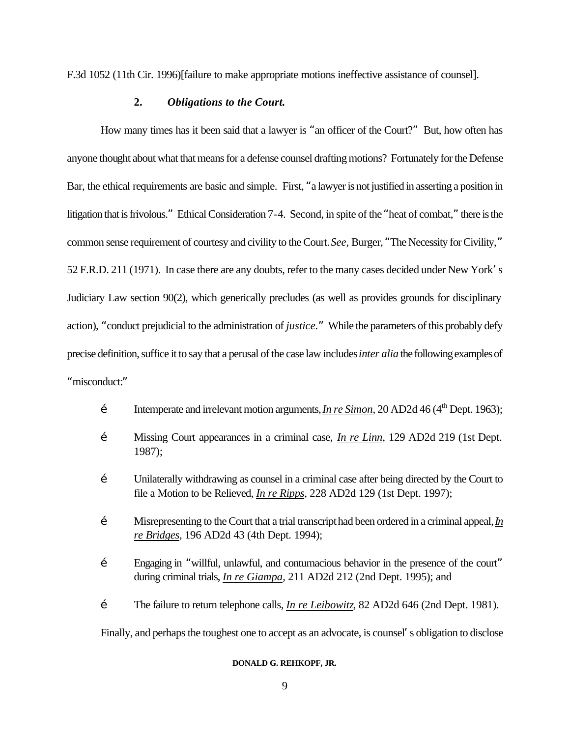F.3d 1052 (11th Cir. 1996)[failure to make appropriate motions ineffective assistance of counsel].

# **2.** *Obligations to the Court.*

How many times has it been said that a lawyer is "an officer of the Court?" But, how often has anyone thought about what that means for a defense counsel drafting motions? Fortunately for the Defense Bar, the ethical requirements are basic and simple. First, "a lawyer is not justified in asserting a position in litigation that is frivolous." Ethical Consideration 7-4. Second, in spite of the "heat of combat," there is the common sense requirement of courtesy and civility to the Court. *See,* Burger, "The Necessity for Civility," 52 F.R.D. 211 (1971). In case there are any doubts, refer to the many cases decided under New York's Judiciary Law section 90(2), which generically precludes (as well as provides grounds for disciplinary action), "conduct prejudicial to the administration of *justice.*" While the parameters of this probably defy precise definition, suffice it to say that a perusal of the case law includes *inter alia* the following examples of "misconduct:"

- $\check{\mathbb{Z}}$  Intemperate and irrelevant motion arguments, *In re Simon*, 20 AD2d 46 (4<sup>th</sup> Dept. 1963);
- Ž Missing Court appearances in a criminal case, *In re Linn*, 129 AD2d 219 (1st Dept. 1987);
- $\check{Z}$  Unilaterally withdrawing as counsel in a criminal case after being directed by the Court to file a Motion to be Relieved, *In re Ripps*, 228 AD2d 129 (1st Dept. 1997);
- Ž Misrepresenting to the Court that a trial transcript had been ordered in a criminal appeal, *In re Bridges*, 196 AD2d 43 (4th Dept. 1994);
- Ž Engaging in "willful, unlawful, and contumacious behavior in the presence of the court" during criminal trials, *In re Giampa*, 211 AD2d 212 (2nd Dept. 1995); and
- Ž The failure to return telephone calls, *In re Leibowitz*, 82 AD2d 646 (2nd Dept. 1981).

Finally, and perhaps the toughest one to accept as an advocate, is counsel's obligation to disclose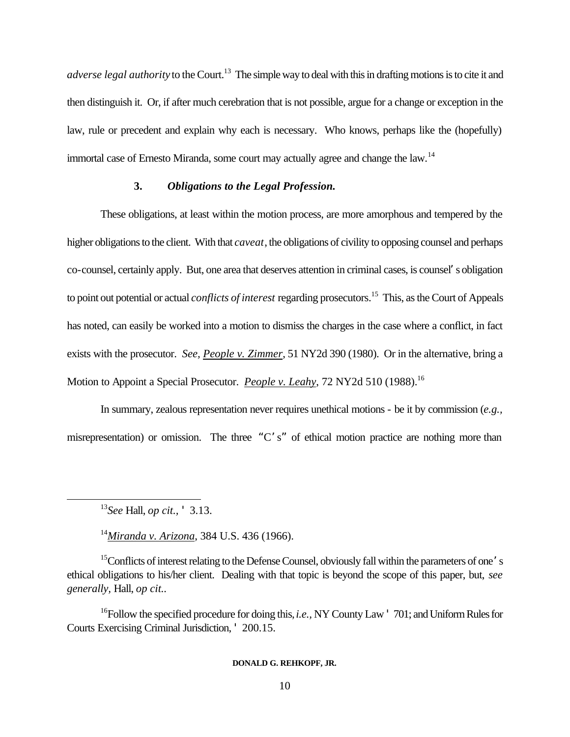*adverse legal authority* to the Court.<sup>13</sup> The simple way to deal with this in drafting motions is to cite it and then distinguish it. Or, if after much cerebration that is not possible, argue for a change or exception in the law, rule or precedent and explain why each is necessary. Who knows, perhaps like the (hopefully) immortal case of Ernesto Miranda, some court may actually agree and change the law.<sup>14</sup>

# **3.** *Obligations to the Legal Profession.*

These obligations, at least within the motion process, are more amorphous and tempered by the higher obligations to the client. With that *caveat*, the obligations of civility to opposing counsel and perhaps co-counsel, certainly apply. But, one area that deserves attention in criminal cases, is counsel's obligation to point out potential or actual *conflicts of interest* regarding prosecutors. <sup>15</sup> This, as the Court of Appeals has noted, can easily be worked into a motion to dismiss the charges in the case where a conflict, in fact exists with the prosecutor. *See, People v. Zimmer*, 51 NY2d 390 (1980). Or in the alternative, bring a Motion to Appoint a Special Prosecutor. *People v. Leahy*, 72 NY2d 510 (1988).<sup>16</sup>

In summary, zealous representation never requires unethical motions - be it by commission (*e.g.,* misrepresentation) or omission. The three "C's" of ethical motion practice are nothing more than

l

<sup>14</sup>*Miranda v. Arizona*, 384 U.S. 436 (1966).

<sup>15</sup>Conflicts of interest relating to the Defense Counsel, obviously fall within the parameters of one's ethical obligations to his/her client. Dealing with that topic is beyond the scope of this paper, but, *see generally,* Hall, *op cit..*

<sup>16</sup>Follow the specified procedure for doing this, *i.e.,* NY County Law ' 701; and Uniform Rules for Courts Exercising Criminal Jurisdiction, ' 200.15.

<sup>13</sup>*See* Hall, *op cit.,* ' 3.13.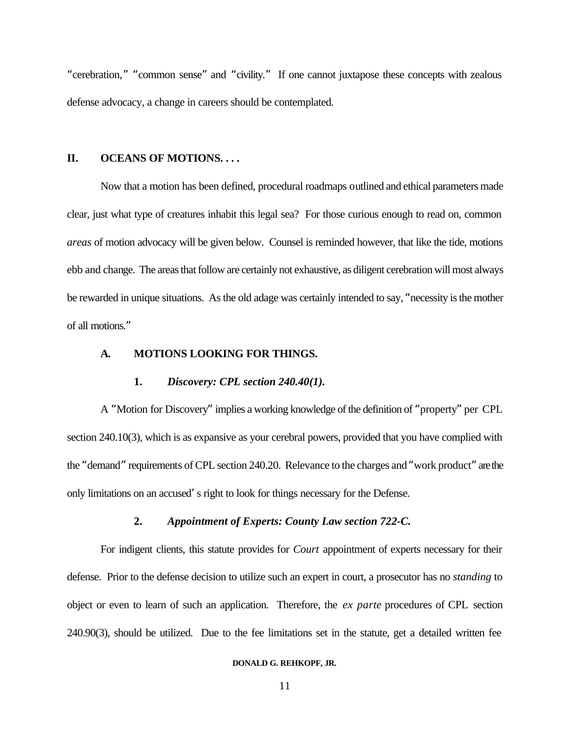"cerebration," "common sense" and "civility." If one cannot juxtapose these concepts with zealous defense advocacy, a change in careers should be contemplated.

## **II. OCEANS OF MOTIONS. . . .**

Now that a motion has been defined, procedural roadmaps outlined and ethical parameters made clear, just what type of creatures inhabit this legal sea? For those curious enough to read on, common *areas* of motion advocacy will be given below. Counsel is reminded however, that like the tide, motions ebb and change. The areas that follow are certainly not exhaustive, as diligent cerebration will most always be rewarded in unique situations. As the old adage was certainly intended to say, "necessity is the mother of all motions."

## **A. MOTIONS LOOKING FOR THINGS.**

### **1.** *Discovery: CPL section 240.40(1).*

A "Motion for Discovery" implies a working knowledge of the definition of "property" per CPL section 240.10(3), which is as expansive as your cerebral powers, provided that you have complied with the "demand" requirements of CPL section 240.20. Relevance to the charges and "work product" are the only limitations on an accused's right to look for things necessary for the Defense.

### **2.** *Appointment of Experts: County Law section 722-C.*

For indigent clients, this statute provides for *Court* appointment of experts necessary for their defense. Prior to the defense decision to utilize such an expert in court, a prosecutor has no *standing* to object or even to learn of such an application. Therefore, the *ex parte* procedures of CPL section 240.90(3), should be utilized. Due to the fee limitations set in the statute, get a detailed written fee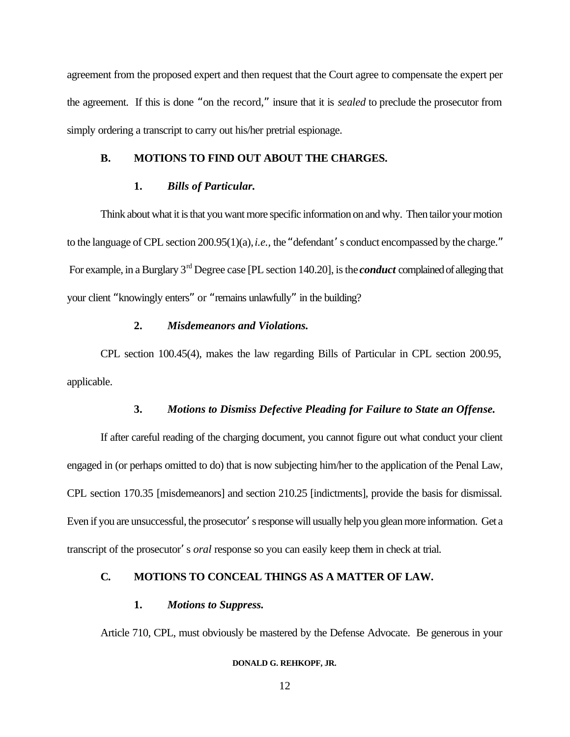agreement from the proposed expert and then request that the Court agree to compensate the expert per the agreement. If this is done "on the record," insure that it is *sealed* to preclude the prosecutor from simply ordering a transcript to carry out his/her pretrial espionage.

### **B. MOTIONS TO FIND OUT ABOUT THE CHARGES.**

# **1.** *Bills of Particular.*

Think about what it is that you want more specific information on and why. Then tailor your motion to the language of CPL section 200.95(1)(a), *i.e.,* the "defendant's conduct encompassed by the charge." For example, in a Burglary 3rd Degree case [PL section 140.20], is the *conduct* complained of alleging that your client "knowingly enters" or "remains unlawfully" in the building?

### **2.** *Misdemeanors and Violations.*

CPL section 100.45(4), makes the law regarding Bills of Particular in CPL section 200.95, applicable.

# **3.** *Motions to Dismiss Defective Pleading for Failure to State an Offense.*

If after careful reading of the charging document, you cannot figure out what conduct your client engaged in (or perhaps omitted to do) that is now subjecting him/her to the application of the Penal Law, CPL section 170.35 [misdemeanors] and section 210.25 [indictments], provide the basis for dismissal. Even if you are unsuccessful, the prosecutor's response will usually help you glean more information. Get a transcript of the prosecutor's *oral* response so you can easily keep them in check at trial.

## **C. MOTIONS TO CONCEAL THINGS AS A MATTER OF LAW.**

### **1.** *Motions to Suppress.*

Article 710, CPL, must obviously be mastered by the Defense Advocate. Be generous in your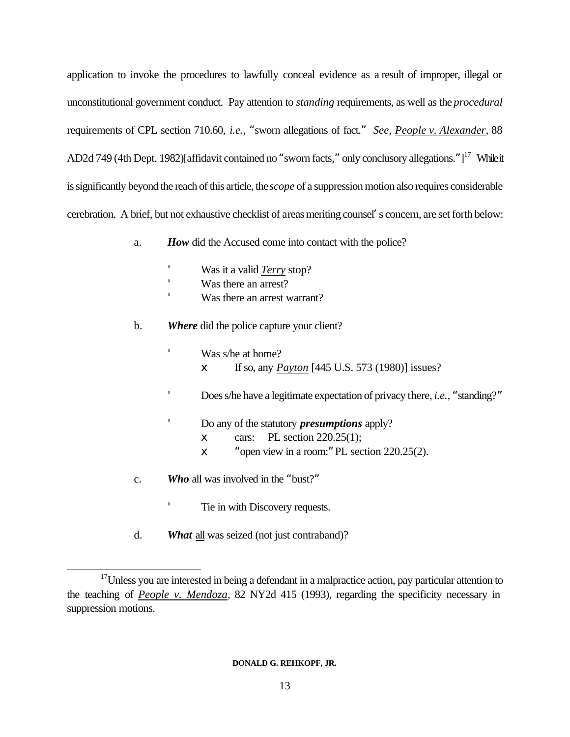application to invoke the procedures to lawfully conceal evidence as a result of improper, illegal or unconstitutional government conduct. Pay attention to *standing* requirements, as well as the *procedural* requirements of CPL section 710.60, *i.e.,* "sworn allegations of fact." *See, People v. Alexander*, 88 AD2d 749 (4th Dept. 1982)[affidavit contained no "sworn facts," only conclusory allegations."]<sup>17</sup> While it is significantly beyond the reach of this article, the *scope* of a suppression motion also requires considerable cerebration. A brief, but not exhaustive checklist of areas meriting counsel's concern, are set forth below:

- a. *How* did the Accused come into contact with the police?
	- Was it a valid *Terry* stop?
	- Was there an arrest?
	- Was there an arrest warrant?
- b. *Where* did the police capture your client?
	- Was s/he at home? x If so, any *Payton* [445 U.S. 573 (1980)] issues?
	- Does s/he have a legitimate expectation of privacy there, *i.e.,* "standing?"
		- Do any of the statutory *presumptions* apply?
			- $x$  cars: PL section 220.25(1);
			- x "open view in a room:" PL section 220.25(2).
- c. *Who* all was involved in the "bust?"

'

l

- Tie in with Discovery requests.
- d. *What* all was seized (not just contraband)?

<sup>&</sup>lt;sup>17</sup>Unless you are interested in being a defendant in a malpractice action, pay particular attention to the teaching of *People v. Mendoza*, 82 NY2d 415 (1993), regarding the specificity necessary in suppression motions.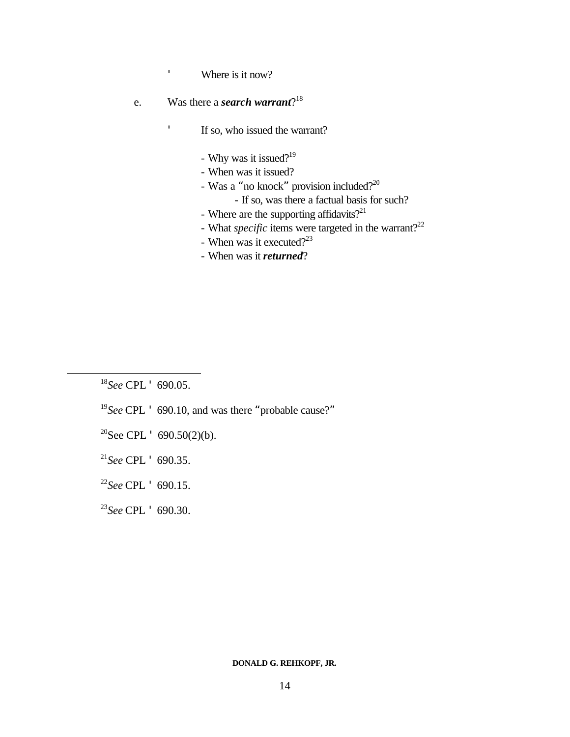Where is it now?

# e. Was there a *search* warrant?<sup>18</sup>

 $\blacksquare$ 

 $\bar{\mathbf{r}}$ 

If so, who issued the warrant?

- Why was it issued?<sup>19</sup>
- When was it issued?
- Was a "no knock" provision included?<sup>20</sup>
	- If so, was there a factual basis for such?
- Where are the supporting affidavits? $2^{21}$
- What *specific* items were targeted in the warrant?<sup>22</sup>
- When was it executed? $2^{23}$
- When was it *returned*?

<sup>18</sup>*See* CPL ' 690.05.

l

- <sup>19</sup>*See* CPL ' 690.10, and was there "probable cause?"
- <sup>20</sup>See CPL  $\cdot$  690.50(2)(b).
- <sup>21</sup>*See* CPL ' 690.35.
- <sup>22</sup>*See* CPL ' 690.15.
- <sup>23</sup>*See* CPL ' 690.30.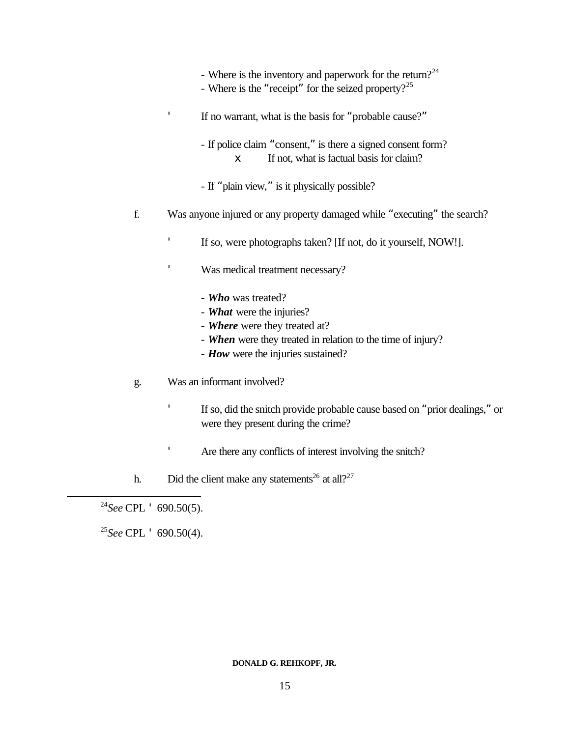- Where is the inventory and paperwork for the return?<sup>24</sup>
- Where is the "receipt" for the seized property?<sup>25</sup>

If no warrant, what is the basis for "probable cause?"

- If police claim "consent," is there a signed consent form? x If not, what is factual basis for claim?
- If "plain view," is it physically possible?
- f. Was anyone injured or any property damaged while "executing" the search?
	- If so, were photographs taken? [If not, do it yourself, NOW!].
	- Was medical treatment necessary?
		- *Who* was treated?
		- *What* were the injuries?
		- *Where* were they treated at?
		- *When* were they treated in relation to the time of injury?
		- *How* were the injuries sustained?
- g. Was an informant involved?

'

'

- If so, did the snitch provide probable cause based on "prior dealings," or were they present during the crime?
- 'Are there any conflicts of interest involving the snitch?
- h. Did the client make any statements<sup>26</sup> at all?<sup>27</sup>

<sup>24</sup>*See* CPL ' 690.50(5).

l

<sup>25</sup>*See* CPL ' 690.50(4).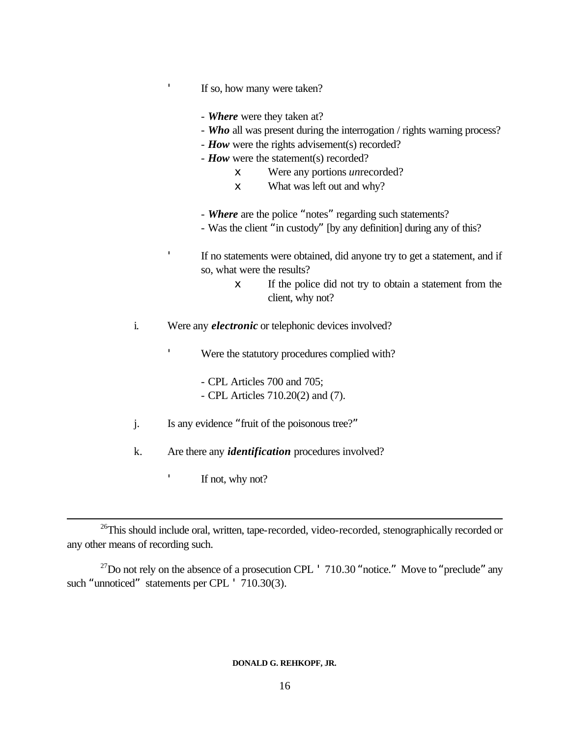If so, how many were taken?

- *Where* were they taken at?
- *Who* all was present during the interrogation / rights warning process?
- *How* were the rights advisement(s) recorded?
- **How** were the statement(s) recorded?
	- x Were any portions *un*recorded?
	- x What was left out and why?
- *Where* are the police "notes" regarding such statements?
- Was the client "in custody" [by any definition] during any of this?

 If no statements were obtained, did anyone try to get a statement, and if so, what were the results?

- x If the police did not try to obtain a statement from the client, why not?
- i. Were any *electronic* or telephonic devices involved?

Were the statutory procedures complied with?

- CPL Articles 700 and 705;
- CPL Articles 710.20(2) and (7).
- j. Is any evidence "fruit of the poisonous tree?"
- k. Are there any *identification* procedures involved?
	- If not, why not?

l

<sup>26</sup>This should include oral, written, tape-recorded, video-recorded, stenographically recorded or any other means of recording such.

 $^{27}$ Do not rely on the absence of a prosecution CPL  $^{\prime}$  710.30 "notice." Move to "preclude" any such "unnoticed" statements per CPL ' 710.30(3).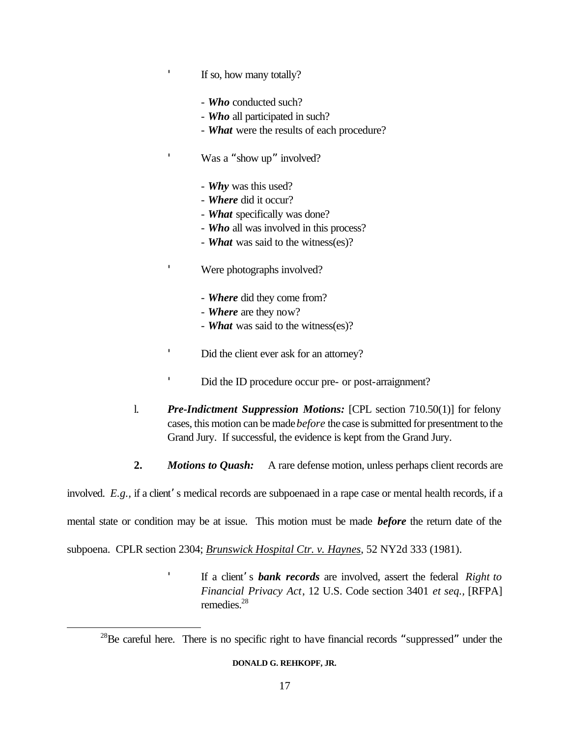If so, how many totally?

- *Who* conducted such?
- *Who* all participated in such?
- *What* were the results of each procedure?

Was a "show up" involved?

- *Why* was this used?
- *Where* did it occur?
- *What* specifically was done?
- *Who* all was involved in this process?
- *What* was said to the witness(es)?

Were photographs involved?

- *Where* did they come from?
- *Where* are they now?
- *What* was said to the witness(es)?
- Did the client ever ask for an attorney?
- Did the ID procedure occur pre- or post-arraignment?
- l. *Pre-Indictment Suppression Motions:* [CPL section 710.50(1)] for felony cases, this motion can be made *before* the case is submitted for presentment to the Grand Jury. If successful, the evidence is kept from the Grand Jury.
- **2.** *Motions to Quash:* A rare defense motion, unless perhaps client records are

involved. *E.g.,* if a client's medical records are subpoenaed in a rape case or mental health records, if a

mental state or condition may be at issue. This motion must be made *before* the return date of the

subpoena. CPLR section 2304; *Brunswick Hospital Ctr. v. Haynes*, 52 NY2d 333 (1981).

l

 If a client's *bank records* are involved, assert the federal *Right to Financial Privacy Act*, 12 U.S. Code section 3401 *et seq.,* [RFPA] remedies.<sup>28</sup>

 $^{28}$ Be careful here. There is no specific right to have financial records "suppressed" under the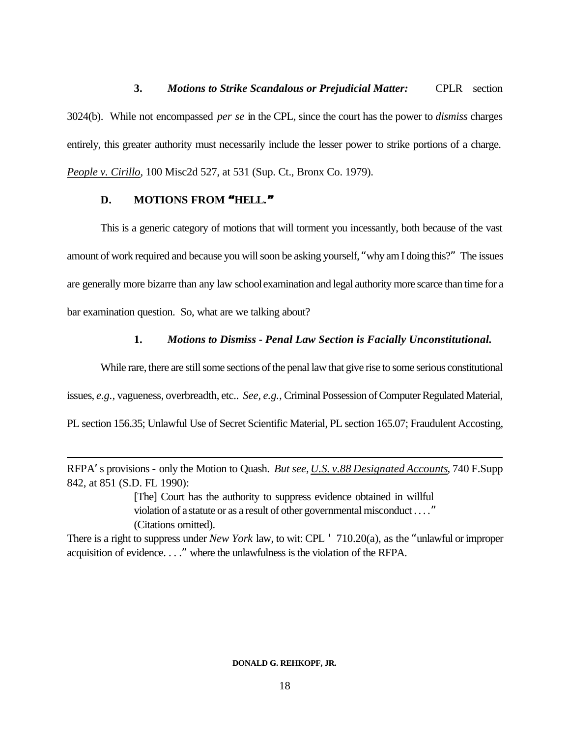**3.** *Motions to Strike Scandalous or Prejudicial Matter:* CPLR section 3024(b). While not encompassed *per se* in the CPL, since the court has the power to *dismiss* charges entirely, this greater authority must necessarily include the lesser power to strike portions of a charge. *People v. Cirillo*, 100 Misc2d 527, at 531 (Sup. Ct., Bronx Co. 1979).

## **D. MOTIONS FROM "HELL."**

l

This is a generic category of motions that will torment you incessantly, both because of the vast amount of work required and because you will soon be asking yourself, "why am I doing this?" The issues are generally more bizarre than any law school examination and legal authority more scarce than time for a bar examination question. So, what are we talking about?

# **1.** *Motions to Dismiss - Penal Law Section is Facially Unconstitutional.*

While rare, there are still some sections of the penal law that give rise to some serious constitutional issues, *e.g.,* vagueness, overbreadth, etc.. *See, e.g.,* Criminal Possession of Computer Regulated Material, PL section 156.35; Unlawful Use of Secret Scientific Material, PL section 165.07; Fraudulent Accosting,

RFPA's provisions - only the Motion to Quash. *But see, U.S. v.88 Designated Accounts*, 740 F.Supp 842, at 851 (S.D. FL 1990):

> [The] Court has the authority to suppress evidence obtained in willful violation of a statute or as a result of other governmental misconduct . . . ." (Citations omitted).

There is a right to suppress under *New York* law, to wit: CPL ' 710.20(a), as the "unlawful or improper acquisition of evidence. . . ." where the unlawfulness is the violation of the RFPA.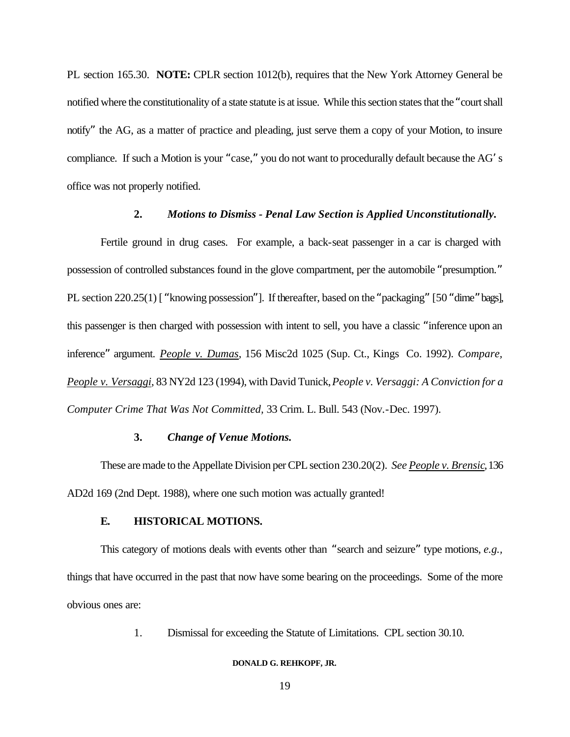PL section 165.30. **NOTE:** CPLR section 1012(b), requires that the New York Attorney General be notified where the constitutionality of a state statute is at issue. While this section states that the "court shall notify" the AG, as a matter of practice and pleading, just serve them a copy of your Motion, to insure compliance. If such a Motion is your "case," you do not want to procedurally default because the AG's office was not properly notified.

### **2.** *Motions to Dismiss - Penal Law Section is Applied Unconstitutionally.*

Fertile ground in drug cases. For example, a back-seat passenger in a car is charged with possession of controlled substances found in the glove compartment, per the automobile "presumption." PL section 220.25(1) [ "knowing possession"]. If thereafter, based on the "packaging" [50 "dime" bags], this passenger is then charged with possession with intent to sell, you have a classic "inference upon an inference" argument. *People v. Dumas*, 156 Misc2d 1025 (Sup. Ct., Kings Co. 1992). *Compare, People v. Versaggi*, 83 NY2d 123 (1994), with David Tunick, *People v. Versaggi: A Conviction for a Computer Crime That Was Not Committed,* 33 Crim. L. Bull. 543 (Nov.-Dec. 1997).

## **3.** *Change of Venue Motions.*

These are made to the Appellate Division per CPL section 230.20(2). *See People v. Brensic*, 136 AD2d 169 (2nd Dept. 1988), where one such motion was actually granted!

### **E. HISTORICAL MOTIONS.**

This category of motions deals with events other than "search and seizure" type motions, *e.g.,* things that have occurred in the past that now have some bearing on the proceedings. Some of the more obvious ones are:

1. Dismissal for exceeding the Statute of Limitations. CPL section 30.10.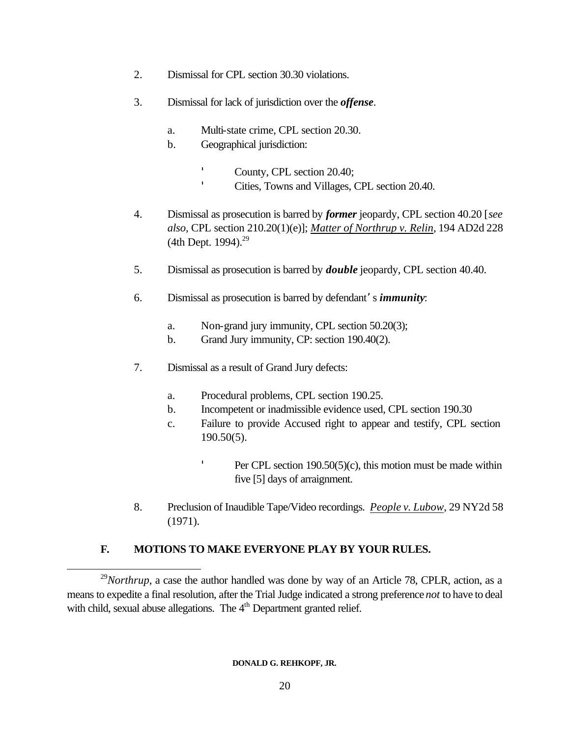- 2. Dismissal for CPL section 30.30 violations.
- 3. Dismissal for lack of jurisdiction over the *offense*.
	- a. Multi-state crime, CPL section 20.30.
	- b. Geographical jurisdiction:

'

'

 County, CPL section 20.40; Cities, Towns and Villages, CPL section 20.40.

- 4. Dismissal as prosecution is barred by *former* jeopardy, CPL section 40.20 [*see also,* CPL section 210.20(1)(e)]; *Matter of Northrup v. Relin*, 194 AD2d 228 (4th Dept. 1994). $^{29}$
- 5. Dismissal as prosecution is barred by *double* jeopardy, CPL section 40.40.
- 6. Dismissal as prosecution is barred by defendant's *immunity*:
	- a. Non-grand jury immunity, CPL section 50.20(3);
	- b. Grand Jury immunity, CP: section 190.40(2).
- 7. Dismissal as a result of Grand Jury defects:
	- a. Procedural problems, CPL section 190.25.
	- b. Incompetent or inadmissible evidence used, CPL section 190.30
	- c. Failure to provide Accused right to appear and testify, CPL section 190.50(5).

Per CPL section 190.50(5)(c), this motion must be made within five [5] days of arraignment.

8. Preclusion of Inaudible Tape/Video recordings. *People v. Lubow*, 29 NY2d 58 (1971).

# **F. MOTIONS TO MAKE EVERYONE PLAY BY YOUR RULES.**

 $^{29}$ *Northrup*, a case the author handled was done by way of an Article 78, CPLR, action, as a means to expedite a final resolution, after the Trial Judge indicated a strong preference *not* to have to deal with child, sexual abuse allegations. The  $4<sup>th</sup>$  Department granted relief.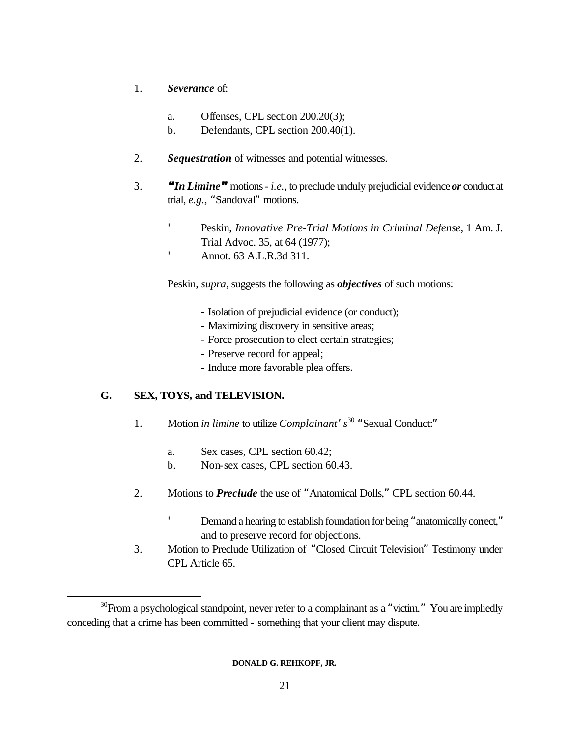- 1. *Severance* of:
	- a. Offenses, CPL section 200.20(3);
	- b. Defendants, CPL section 200.40(1).
- 2. *Sequestration* of witnesses and potential witnesses.
- 3. *"In Limine"* motions *i.e.,* to preclude unduly prejudicial evidence *or* conduct at trial, *e.g.,* "Sandoval" motions.
	- ' Peskin, *Innovative Pre-Trial Motions in Criminal Defense,* 1 Am. J. Trial Advoc. 35, at 64 (1977);
	- Annot. 63 A.L.R.3d 311.

Peskin, *supra*, suggests the following as *objectives* of such motions:

- Isolation of prejudicial evidence (or conduct);
- Maximizing discovery in sensitive areas;
- Force prosecution to elect certain strategies;
- Preserve record for appeal;
- Induce more favorable plea offers.

# **G. SEX, TOYS, and TELEVISION.**

 $\mathbf{r}$ 

l

- 1. Motion *in limine* to utilize *Complainant's* <sup>30</sup> "Sexual Conduct:"
	- a. Sex cases, CPL section 60.42;
	- b. Non-sex cases, CPL section 60.43.
- 2. Motions to *Preclude* the use of "Anatomical Dolls," CPL section 60.44.
	- Demand a hearing to establish foundation for being "anatomically correct," and to preserve record for objections.
- 3. Motion to Preclude Utilization of "Closed Circuit Television" Testimony under CPL Article 65.

 $30$ From a psychological standpoint, never refer to a complainant as a "victim." You are impliedly conceding that a crime has been committed - something that your client may dispute.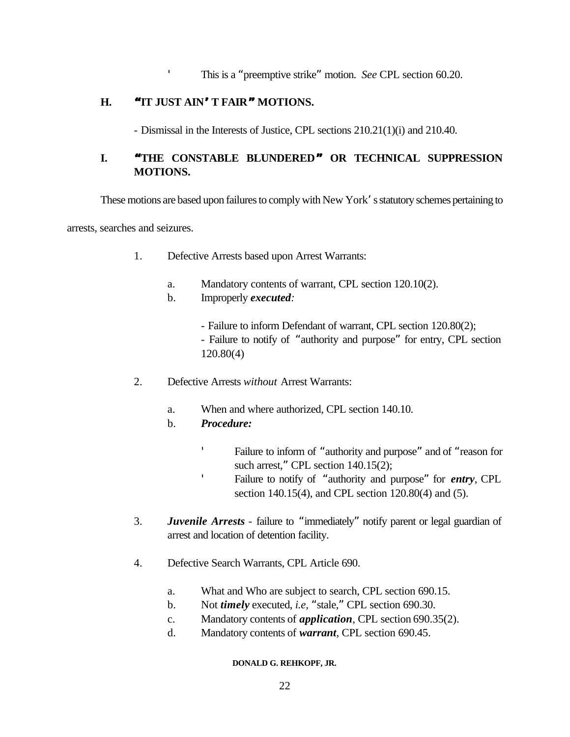This is a "preemptive strike" motion. *See* CPL section 60.20.

# **H. "IT JUST AIN'T FAIR" MOTIONS.**

- Dismissal in the Interests of Justice, CPL sections 210.21(1)(i) and 210.40.

# **I. "THE CONSTABLE BLUNDERED" OR TECHNICAL SUPPRESSION MOTIONS.**

These motions are based upon failures to comply with New York's statutory schemes pertaining to

arrests, searches and seizures.

- 1. Defective Arrests based upon Arrest Warrants:
	- a. Mandatory contents of warrant, CPL section 120.10(2).
	- b. Improperly *executed:*
		- Failure to inform Defendant of warrant, CPL section 120.80(2); - Failure to notify of "authority and purpose" for entry, CPL section 120.80(4)
- 2. Defective Arrests *without* Arrest Warrants:
	- a. When and where authorized, CPL section 140.10.
	- b. *Procedure:*

'

'

- Failure to inform of "authority and purpose" and of "reason for such arrest," CPL section 140.15(2);
	- Failure to notify of "authority and purpose" for *entry*, CPL section 140.15(4), and CPL section 120.80(4) and (5).
- 3. *Juvenile Arrests* failure to "immediately" notify parent or legal guardian of arrest and location of detention facility.
- 4. Defective Search Warrants, CPL Article 690.
	- a. What and Who are subject to search, CPL section 690.15.
	- b. Not *timely* executed, *i.e,* "stale," CPL section 690.30.
	- c. Mandatory contents of *application*, CPL section 690.35(2).
	- d. Mandatory contents of *warrant*, CPL section 690.45.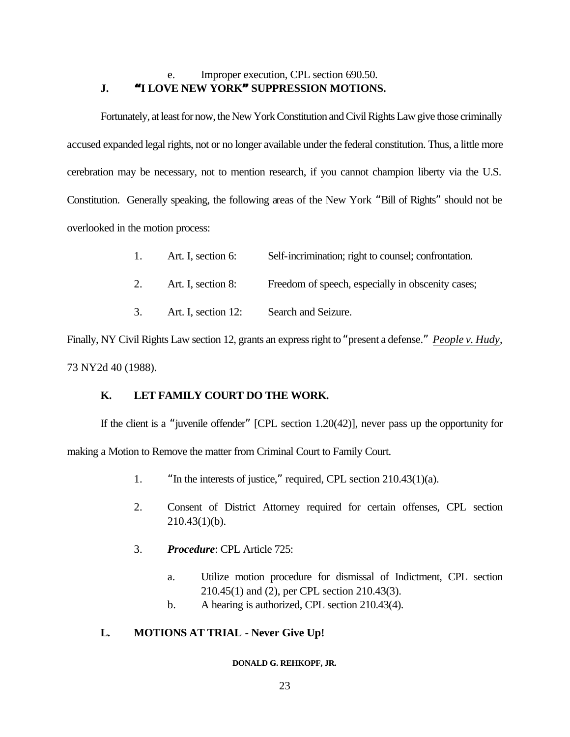# e. Improper execution, CPL section 690.50. **J. "I LOVE NEW YORK" SUPPRESSION MOTIONS.**

Fortunately, at least for now, the New York Constitution and Civil Rights Law give those criminally accused expanded legal rights, not or no longer available under the federal constitution. Thus, a little more cerebration may be necessary, not to mention research, if you cannot champion liberty via the U.S. Constitution. Generally speaking, the following areas of the New York "Bill of Rights" should not be overlooked in the motion process:

|  | Art. I, section 6: | Self-incrimination; right to counsel; confrontation. |  |
|--|--------------------|------------------------------------------------------|--|
|--|--------------------|------------------------------------------------------|--|

- 2. Art. I, section 8: Freedom of speech, especially in obscenity cases;
- 3. Art. I, section 12: Search and Seizure.

Finally, NY Civil Rights Law section 12, grants an express right to "present a defense." *People v. Hudy*, 73 NY2d 40 (1988).

# **K. LET FAMILY COURT DO THE WORK.**

If the client is a "juvenile offender" [CPL section 1.20(42)], never pass up the opportunity for making a Motion to Remove the matter from Criminal Court to Family Court.

- 1. "In the interests of justice," required, CPL section 210.43(1)(a).
- 2. Consent of District Attorney required for certain offenses, CPL section  $210.43(1)(b)$ .
- 3. *Procedure*: CPL Article 725:
	- a. Utilize motion procedure for dismissal of Indictment, CPL section 210.45(1) and (2), per CPL section 210.43(3).
	- b. A hearing is authorized, CPL section 210.43(4).

# **L. MOTIONS AT TRIAL - Never Give Up!**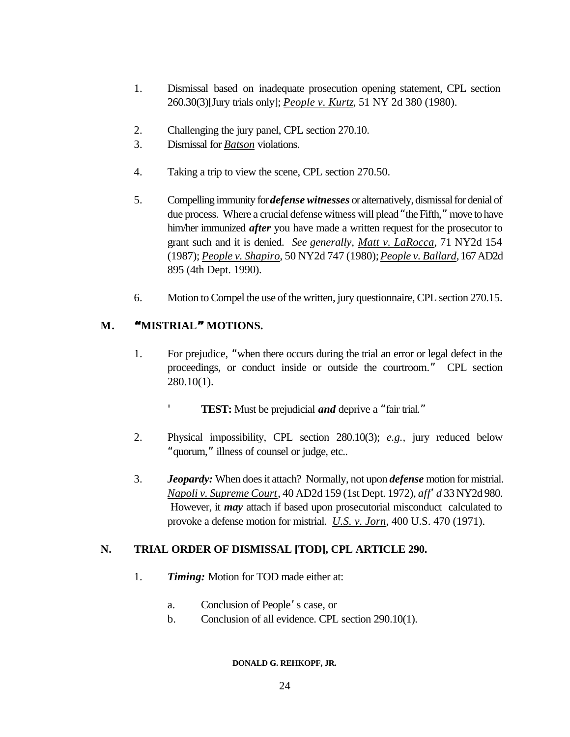- 1. Dismissal based on inadequate prosecution opening statement, CPL section 260.30(3)[Jury trials only]; *People v. Kurtz*, 51 NY 2d 380 (1980).
- 2. Challenging the jury panel, CPL section 270.10.
- 3. Dismissal for *Batson* violations.
- 4. Taking a trip to view the scene, CPL section 270.50.
- 5. Compelling immunity for *defense witnesses* or alternatively, dismissal for denial of due process. Where a crucial defense witness will plead "the Fifth," move to have him/her immunized *after* you have made a written request for the prosecutor to grant such and it is denied. *See generally, Matt v. LaRocca*, 71 NY2d 154 (1987); *People v. Shapiro*, 50 NY2d 747 (1980); *People v. Ballard*, 167 AD2d 895 (4th Dept. 1990).
- 6. Motion to Compel the use of the written, jury questionnaire, CPL section 270.15.

# **M. "MISTRIAL" MOTIONS.**

- 1. For prejudice, "when there occurs during the trial an error or legal defect in the proceedings, or conduct inside or outside the courtroom." CPL section 280.10(1).
	- **TEST:** Must be prejudicial *and* deprive a "fair trial."
- 2. Physical impossibility, CPL section 280.10(3); *e.g.,* jury reduced below "quorum," illness of counsel or judge, etc..
- 3. *Jeopardy:* When does it attach? Normally, not upon *defense* motion for mistrial. *Napoli v. Supreme Court*, 40 AD2d 159 (1st Dept. 1972), *aff'd* 33 NY2d 980. However, it *may* attach if based upon prosecutorial misconduct calculated to provoke a defense motion for mistrial. *U.S. v. Jorn*, 400 U.S. 470 (1971).

# **N. TRIAL ORDER OF DISMISSAL [TOD], CPL ARTICLE 290.**

- 1. *Timing:* Motion for TOD made either at:
	- a. Conclusion of People's case, or
	- b. Conclusion of all evidence. CPL section 290.10(1).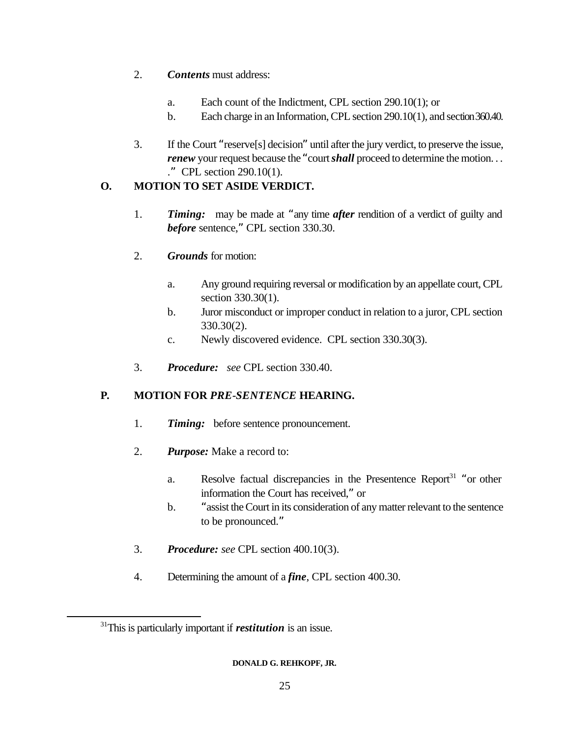- 2. *Contents* must address:
	- a. Each count of the Indictment, CPL section 290.10(1); or
	- b. Each charge in an Information, CPL section 290.10(1), and section 360.40.
- 3. If the Court "reserve[s] decision" until after the jury verdict, to preserve the issue, *renew* your request because the "court *shall* proceed to determine the motion... ." CPL section 290.10(1).

# **O. MOTION TO SET ASIDE VERDICT.**

- 1. *Timing:* may be made at "any time *after* rendition of a verdict of guilty and *before* sentence," CPL section 330.30.
- 2. *Grounds* for motion:
	- a. Any ground requiring reversal or modification by an appellate court, CPL section 330.30(1).
	- b. Juror misconduct or improper conduct in relation to a juror, CPL section 330.30(2).
	- c. Newly discovered evidence. CPL section 330.30(3).
- 3. *Procedure: see* CPL section 330.40.

# **P. MOTION FOR** *PRE-SENTENCE* **HEARING.**

- 1. *Timing:* before sentence pronouncement.
- 2. *Purpose:* Make a record to:
	- a. Resolve factual discrepancies in the Presentence Report<sup>31</sup> "or other information the Court has received," or
	- b. "assist the Court in its consideration of any matter relevant to the sentence to be pronounced."
- 3. *Procedure: see* CPL section 400.10(3).
- 4. Determining the amount of a *fine*, CPL section 400.30.

<sup>31</sup>This is particularly important if *restitution* is an issue.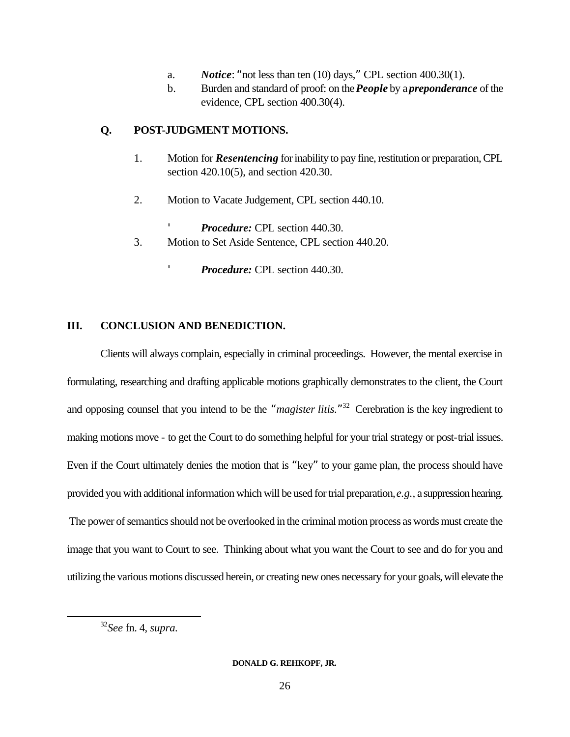- a. *Notice*: "not less than ten (10) days," CPL section 400.30(1).
- b. Burden and standard of proof: on the *People* by a *preponderance* of the evidence, CPL section 400.30(4).

# **Q. POST-JUDGMENT MOTIONS.**

- 1. Motion for *Resentencing* for inability to pay fine, restitution or preparation, CPL section 420.10(5), and section 420.30.
- 2. Motion to Vacate Judgement, CPL section 440.10.
	- *Procedure:* CPL section 440.30.
- 3. Motion to Set Aside Sentence, CPL section 440.20.
	- *Procedure:* CPL section 440.30.

# **III. CONCLUSION AND BENEDICTION.**

Clients will always complain, especially in criminal proceedings. However, the mental exercise in formulating, researching and drafting applicable motions graphically demonstrates to the client, the Court and opposing counsel that you intend to be the "*magister litis.*" <sup>32</sup> Cerebration is the key ingredient to making motions move - to get the Court to do something helpful for your trial strategy or post-trial issues. Even if the Court ultimately denies the motion that is "key" to your game plan, the process should have provided you with additional information which will be used for trial preparation, *e.g.,* a suppression hearing. The power of semantics should not be overlooked in the criminal motion process as words must create the image that you want to Court to see. Thinking about what you want the Court to see and do for you and utilizing the various motions discussed herein, or creating new ones necessary for your goals, will elevate the

<sup>32</sup>*See* fn. 4, *supra.*